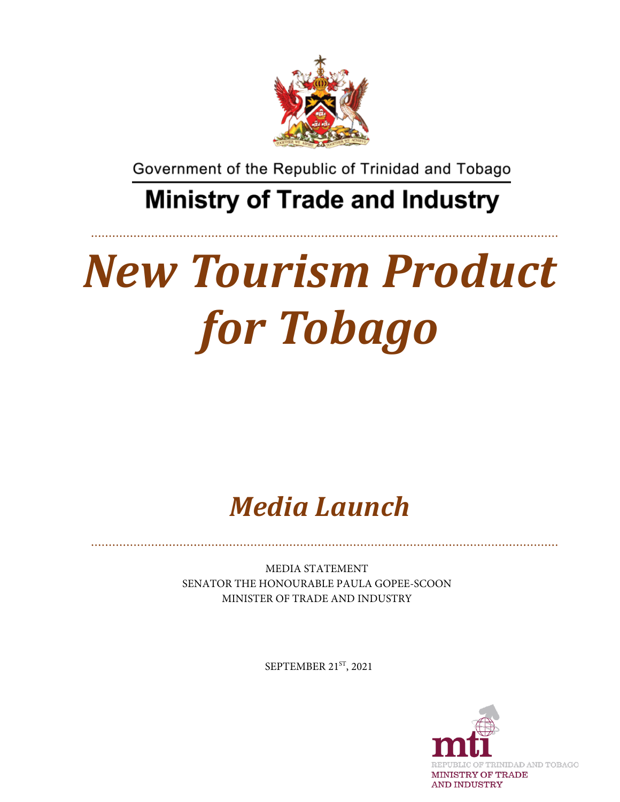

Government of the Republic of Trinidad and Tobago

# **Ministry of Trade and Industry**

# *New Tourism Product for Tobago*

*Media Launch*

MEDIA STATEMENT SENATOR THE HONOURABLE PAULA GOPEE-SCOON MINISTER OF TRADE AND INDUSTRY

SEPTEMBER 21ST, 2021

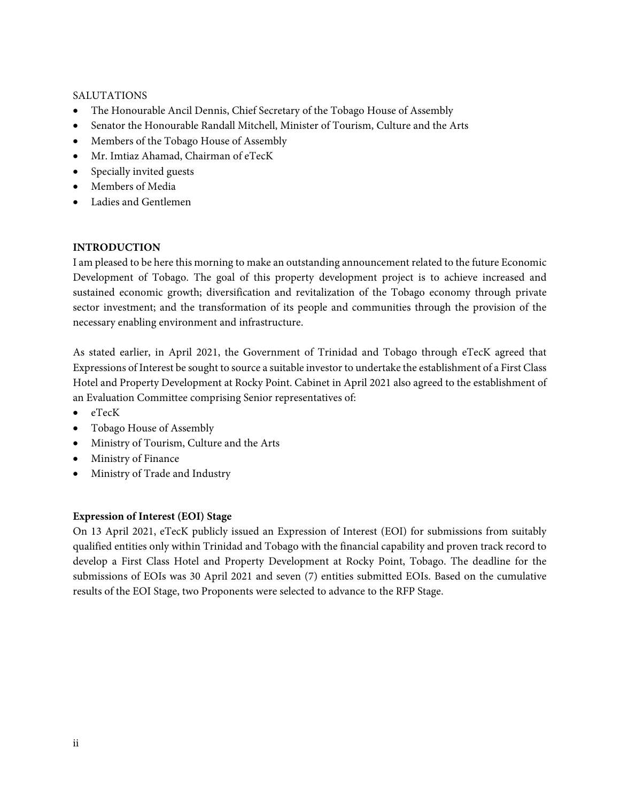### SALUTATIONS

- The Honourable Ancil Dennis, Chief Secretary of the Tobago House of Assembly
- Senator the Honourable Randall Mitchell, Minister of Tourism, Culture and the Arts
- Members of the Tobago House of Assembly
- Mr. Imtiaz Ahamad, Chairman of eTecK
- Specially invited guests
- Members of Media
- Ladies and Gentlemen

# **INTRODUCTION**

I am pleased to be here this morning to make an outstanding announcement related to the future Economic Development of Tobago. The goal of this property development project is to achieve increased and sustained economic growth; diversification and revitalization of the Tobago economy through private sector investment; and the transformation of its people and communities through the provision of the necessary enabling environment and infrastructure.

As stated earlier, in April 2021, the Government of Trinidad and Tobago through eTecK agreed that Expressions of Interest be sought to source a suitable investor to undertake the establishment of a First Class Hotel and Property Development at Rocky Point. Cabinet in April 2021 also agreed to the establishment of an Evaluation Committee comprising Senior representatives of:

- eTecK
- Tobago House of Assembly
- Ministry of Tourism, Culture and the Arts
- Ministry of Finance
- Ministry of Trade and Industry

# **Expression of Interest (EOI) Stage**

On 13 April 2021, eTecK publicly issued an Expression of Interest (EOI) for submissions from suitably qualified entities only within Trinidad and Tobago with the financial capability and proven track record to develop a First Class Hotel and Property Development at Rocky Point, Tobago. The deadline for the submissions of EOIs was 30 April 2021 and seven (7) entities submitted EOIs. Based on the cumulative results of the EOI Stage, two Proponents were selected to advance to the RFP Stage.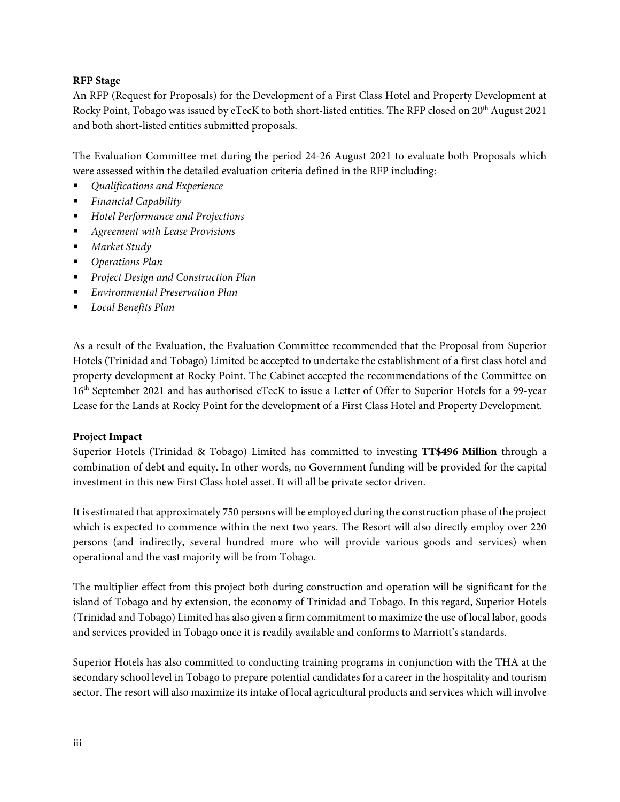## **RFP Stage**

An RFP (Request for Proposals) for the Development of a First Class Hotel and Property Development at Rocky Point, Tobago was issued by eTecK to both short-listed entities. The RFP closed on 20<sup>th</sup> August 2021 and both short-listed entities submitted proposals.

The Evaluation Committee met during the period 24-26 August 2021 to evaluate both Proposals which were assessed within the detailed evaluation criteria defined in the RFP including:

- *Qualifications and Experience*
- *Financial Capability*
- *Hotel Performance and Projections*
- *Agreement with Lease Provisions*
- *Market Study*
- *Operations Plan*
- *Project Design and Construction Plan*
- *Environmental Preservation Plan*
- *Local Benefits Plan*

As a result of the Evaluation, the Evaluation Committee recommended that the Proposal from Superior Hotels (Trinidad and Tobago) Limited be accepted to undertake the establishment of a first class hotel and property development at Rocky Point. The Cabinet accepted the recommendations of the Committee on 16<sup>th</sup> September 2021 and has authorised eTecK to issue a Letter of Offer to Superior Hotels for a 99-year Lease for the Lands at Rocky Point for the development of a First Class Hotel and Property Development.

#### **Project Impact**

Superior Hotels (Trinidad & Tobago) Limited has committed to investing **TT\$496 Million** through a combination of debt and equity. In other words, no Government funding will be provided for the capital investment in this new First Class hotel asset. It will all be private sector driven.

It is estimated that approximately 750 persons will be employed during the construction phase of the project which is expected to commence within the next two years. The Resort will also directly employ over 220 persons (and indirectly, several hundred more who will provide various goods and services) when operational and the vast majority will be from Tobago.

The multiplier effect from this project both during construction and operation will be significant for the island of Tobago and by extension, the economy of Trinidad and Tobago. In this regard, Superior Hotels (Trinidad and Tobago) Limited has also given a firm commitment to maximize the use of local labor, goods and services provided in Tobago once it is readily available and conforms to Marriott's standards.

Superior Hotels has also committed to conducting training programs in conjunction with the THA at the secondary school level in Tobago to prepare potential candidates for a career in the hospitality and tourism sector. The resort will also maximize its intake of local agricultural products and services which will involve